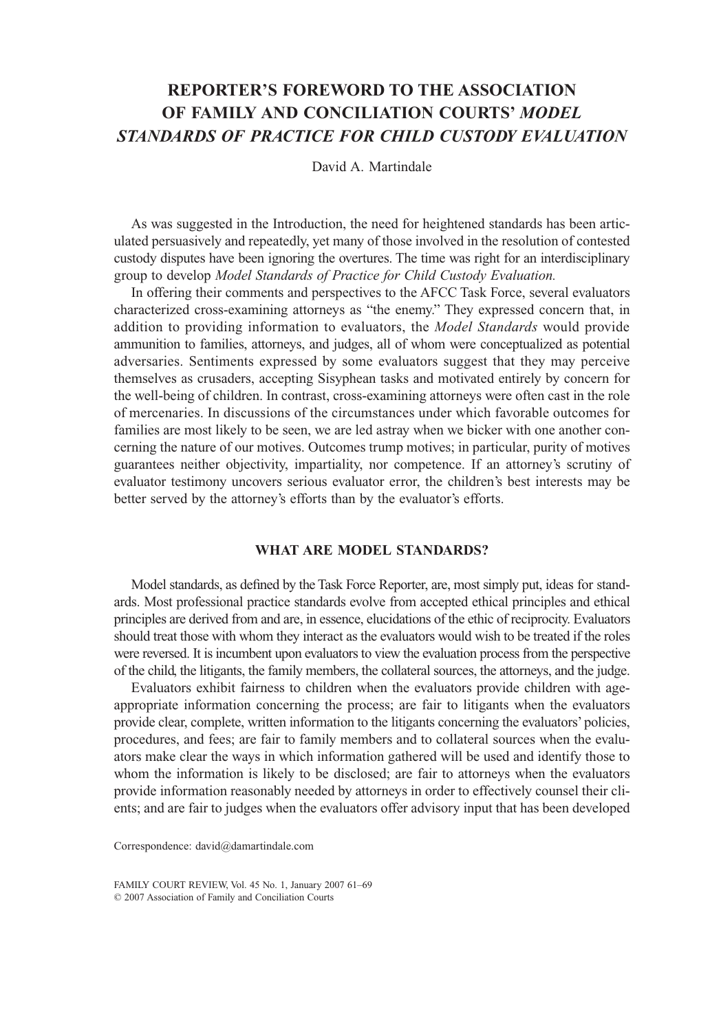# **REPORTER'S FOREWORD TO THE ASSOCIATION OF FAMILY AND CONCILIATION COURTS'** *MODEL STANDARDS OF PRACTICE FOR CHILD CUSTODY EVALUATION*

David A. Martindale

As was suggested in the Introduction, the need for heightened standards has been articulated persuasively and repeatedly, yet many of those involved in the resolution of contested custody disputes have been ignoring the overtures. The time was right for an interdisciplinary group to develop *Model Standards of Practice for Child Custody Evaluation.*

In offering their comments and perspectives to the AFCC Task Force, several evaluators characterized cross-examining attorneys as "the enemy." They expressed concern that, in addition to providing information to evaluators, the *Model Standards* would provide ammunition to families, attorneys, and judges, all of whom were conceptualized as potential adversaries. Sentiments expressed by some evaluators suggest that they may perceive themselves as crusaders, accepting Sisyphean tasks and motivated entirely by concern for the well-being of children. In contrast, cross-examining attorneys were often cast in the role of mercenaries. In discussions of the circumstances under which favorable outcomes for families are most likely to be seen, we are led astray when we bicker with one another concerning the nature of our motives. Outcomes trump motives; in particular, purity of motives guarantees neither objectivity, impartiality, nor competence. If an attorney's scrutiny of evaluator testimony uncovers serious evaluator error, the children's best interests may be better served by the attorney's efforts than by the evaluator's efforts.

## **WHAT ARE MODEL STANDARDS?**

Model standards, as defined by the Task Force Reporter, are, most simply put, ideas for standards. Most professional practice standards evolve from accepted ethical principles and ethical principles are derived from and are, in essence, elucidations of the ethic of reciprocity. Evaluators should treat those with whom they interact as the evaluators would wish to be treated if the roles were reversed. It is incumbent upon evaluators to view the evaluation process from the perspective of the child, the litigants, the family members, the collateral sources, the attorneys, and the judge.

Evaluators exhibit fairness to children when the evaluators provide children with ageappropriate information concerning the process; are fair to litigants when the evaluators provide clear, complete, written information to the litigants concerning the evaluators' policies, procedures, and fees; are fair to family members and to collateral sources when the evaluators make clear the ways in which information gathered will be used and identify those to whom the information is likely to be disclosed; are fair to attorneys when the evaluators provide information reasonably needed by attorneys in order to effectively counsel their clients; and are fair to judges when the evaluators offer advisory input that has been developed

Correspondence: david@damartindale.com

FAMILY COURT REVIEW, Vol. 45 No. 1, January 2007 61–69 © 2007 Association of Family and Conciliation Courts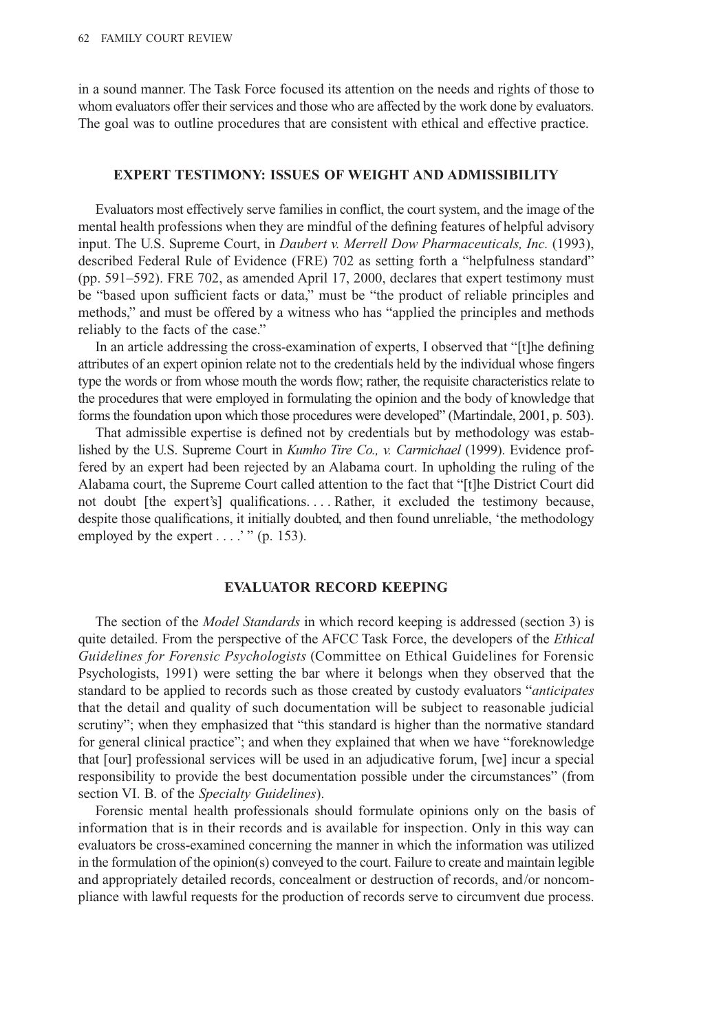in a sound manner. The Task Force focused its attention on the needs and rights of those to whom evaluators offer their services and those who are affected by the work done by evaluators. The goal was to outline procedures that are consistent with ethical and effective practice.

## **EXPERT TESTIMONY: ISSUES OF WEIGHT AND ADMISSIBILITY**

Evaluators most effectively serve families in conflict, the court system, and the image of the mental health professions when they are mindful of the defining features of helpful advisory input. The U.S. Supreme Court, in *Daubert v. Merrell Dow Pharmaceuticals, Inc.* (1993), described Federal Rule of Evidence (FRE) 702 as setting forth a "helpfulness standard" (pp. 591–592). FRE 702, as amended April 17, 2000, declares that expert testimony must be "based upon sufficient facts or data," must be "the product of reliable principles and methods," and must be offered by a witness who has "applied the principles and methods reliably to the facts of the case."

In an article addressing the cross-examination of experts, I observed that "[t]he defining attributes of an expert opinion relate not to the credentials held by the individual whose fingers type the words or from whose mouth the words flow; rather, the requisite characteristics relate to the procedures that were employed in formulating the opinion and the body of knowledge that forms the foundation upon which those procedures were developed" (Martindale, 2001, p. 503).

That admissible expertise is defined not by credentials but by methodology was established by the U.S. Supreme Court in *Kumho Tire Co., v. Carmichael* (1999). Evidence proffered by an expert had been rejected by an Alabama court. In upholding the ruling of the Alabama court, the Supreme Court called attention to the fact that "[t]he District Court did not doubt [the expert's] qualifications. . . . Rather, it excluded the testimony because, despite those qualifications, it initially doubted, and then found unreliable, 'the methodology employed by the expert . . . .' " (p. 153).

# **EVALUATOR RECORD KEEPING**

The section of the *Model Standards* in which record keeping is addressed (section 3) is quite detailed. From the perspective of the AFCC Task Force, the developers of the *Ethical Guidelines for Forensic Psychologists* (Committee on Ethical Guidelines for Forensic Psychologists, 1991) were setting the bar where it belongs when they observed that the standard to be applied to records such as those created by custody evaluators "*anticipates* that the detail and quality of such documentation will be subject to reasonable judicial scrutiny"; when they emphasized that "this standard is higher than the normative standard for general clinical practice"; and when they explained that when we have "foreknowledge that [our] professional services will be used in an adjudicative forum, [we] incur a special responsibility to provide the best documentation possible under the circumstances" (from section VI. B. of the *Specialty Guidelines*).

Forensic mental health professionals should formulate opinions only on the basis of information that is in their records and is available for inspection. Only in this way can evaluators be cross-examined concerning the manner in which the information was utilized in the formulation of the opinion(s) conveyed to the court. Failure to create and maintain legible and appropriately detailed records, concealment or destruction of records, and/or noncompliance with lawful requests for the production of records serve to circumvent due process.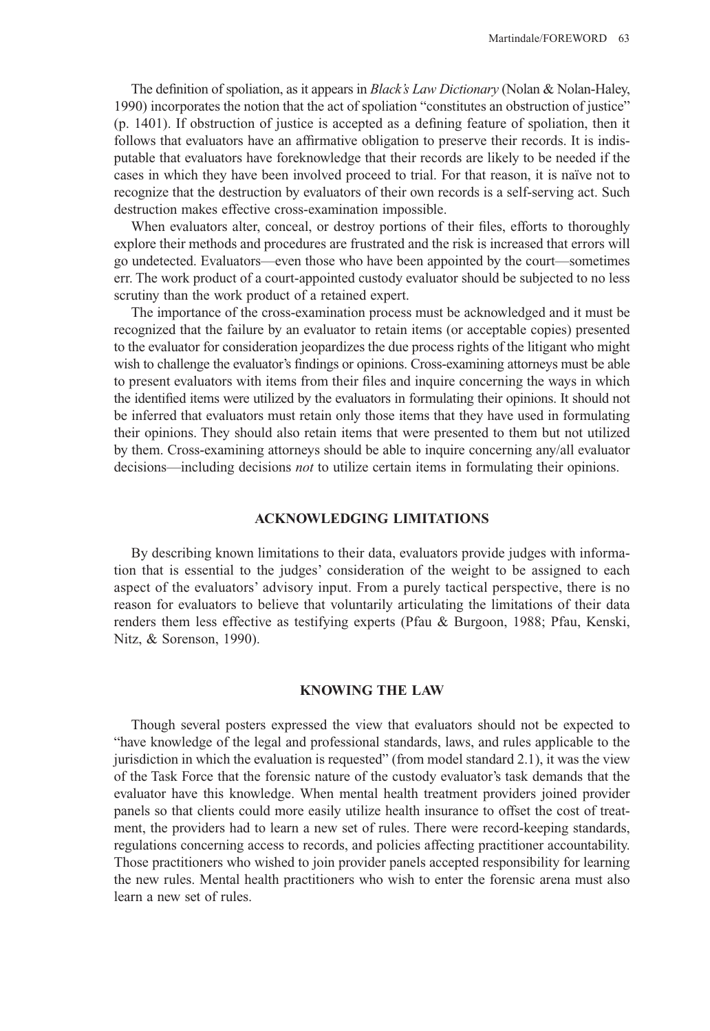The definition of spoliation, as it appears in *Black's Law Dictionary* (Nolan & Nolan-Haley, 1990) incorporates the notion that the act of spoliation "constitutes an obstruction of justice" (p. 1401). If obstruction of justice is accepted as a defining feature of spoliation, then it follows that evaluators have an affirmative obligation to preserve their records. It is indisputable that evaluators have foreknowledge that their records are likely to be needed if the cases in which they have been involved proceed to trial. For that reason, it is naïve not to recognize that the destruction by evaluators of their own records is a self-serving act. Such destruction makes effective cross-examination impossible.

When evaluators alter, conceal, or destroy portions of their files, efforts to thoroughly explore their methods and procedures are frustrated and the risk is increased that errors will go undetected. Evaluators—even those who have been appointed by the court—sometimes err. The work product of a court-appointed custody evaluator should be subjected to no less scrutiny than the work product of a retained expert.

The importance of the cross-examination process must be acknowledged and it must be recognized that the failure by an evaluator to retain items (or acceptable copies) presented to the evaluator for consideration jeopardizes the due process rights of the litigant who might wish to challenge the evaluator's findings or opinions. Cross-examining attorneys must be able to present evaluators with items from their files and inquire concerning the ways in which the identified items were utilized by the evaluators in formulating their opinions. It should not be inferred that evaluators must retain only those items that they have used in formulating their opinions. They should also retain items that were presented to them but not utilized by them. Cross-examining attorneys should be able to inquire concerning any/all evaluator decisions—including decisions *not* to utilize certain items in formulating their opinions.

## **ACKNOWLEDGING LIMITATIONS**

By describing known limitations to their data, evaluators provide judges with information that is essential to the judges' consideration of the weight to be assigned to each aspect of the evaluators' advisory input. From a purely tactical perspective, there is no reason for evaluators to believe that voluntarily articulating the limitations of their data renders them less effective as testifying experts (Pfau & Burgoon, 1988; Pfau, Kenski, Nitz, & Sorenson, 1990).

# **KNOWING THE LAW**

Though several posters expressed the view that evaluators should not be expected to "have knowledge of the legal and professional standards, laws, and rules applicable to the jurisdiction in which the evaluation is requested" (from model standard 2.1), it was the view of the Task Force that the forensic nature of the custody evaluator's task demands that the evaluator have this knowledge. When mental health treatment providers joined provider panels so that clients could more easily utilize health insurance to offset the cost of treatment, the providers had to learn a new set of rules. There were record-keeping standards, regulations concerning access to records, and policies affecting practitioner accountability. Those practitioners who wished to join provider panels accepted responsibility for learning the new rules. Mental health practitioners who wish to enter the forensic arena must also learn a new set of rules.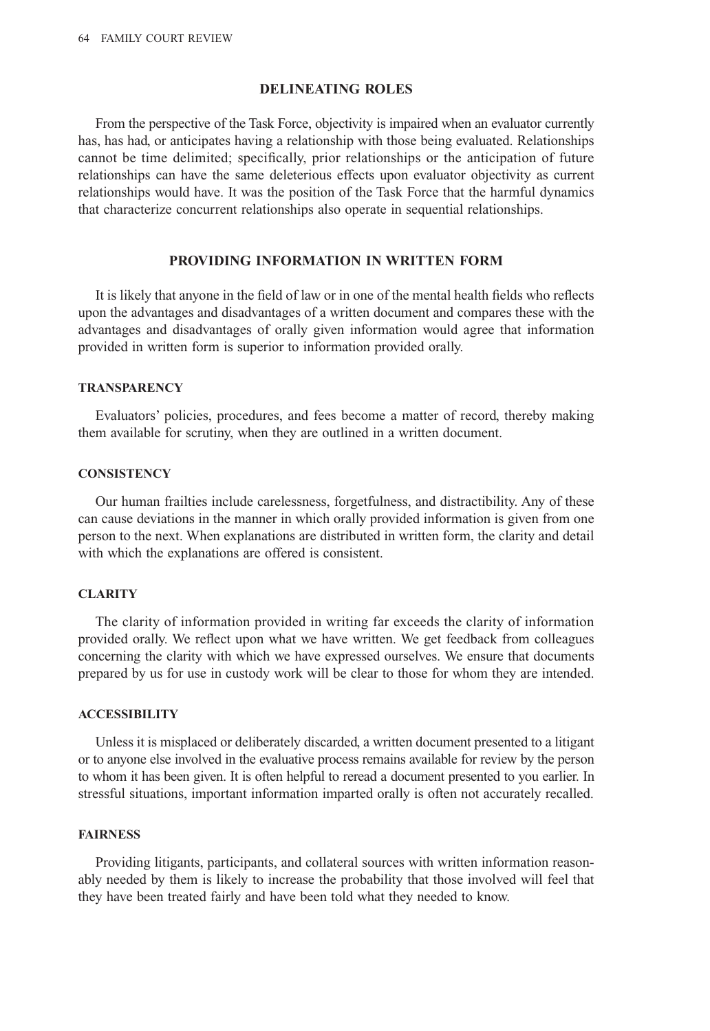# **DELINEATING ROLES**

From the perspective of the Task Force, objectivity is impaired when an evaluator currently has, has had, or anticipates having a relationship with those being evaluated. Relationships cannot be time delimited; specifically, prior relationships or the anticipation of future relationships can have the same deleterious effects upon evaluator objectivity as current relationships would have. It was the position of the Task Force that the harmful dynamics that characterize concurrent relationships also operate in sequential relationships.

# **PROVIDING INFORMATION IN WRITTEN FORM**

It is likely that anyone in the field of law or in one of the mental health fields who reflects upon the advantages and disadvantages of a written document and compares these with the advantages and disadvantages of orally given information would agree that information provided in written form is superior to information provided orally.

#### **TRANSPARENCY**

Evaluators' policies, procedures, and fees become a matter of record, thereby making them available for scrutiny, when they are outlined in a written document.

#### **CONSISTENCY**

Our human frailties include carelessness, forgetfulness, and distractibility. Any of these can cause deviations in the manner in which orally provided information is given from one person to the next. When explanations are distributed in written form, the clarity and detail with which the explanations are offered is consistent.

## **CLARITY**

The clarity of information provided in writing far exceeds the clarity of information provided orally. We reflect upon what we have written. We get feedback from colleagues concerning the clarity with which we have expressed ourselves. We ensure that documents prepared by us for use in custody work will be clear to those for whom they are intended.

#### **ACCESSIBILITY**

Unless it is misplaced or deliberately discarded, a written document presented to a litigant or to anyone else involved in the evaluative process remains available for review by the person to whom it has been given. It is often helpful to reread a document presented to you earlier. In stressful situations, important information imparted orally is often not accurately recalled.

#### **FAIRNESS**

Providing litigants, participants, and collateral sources with written information reasonably needed by them is likely to increase the probability that those involved will feel that they have been treated fairly and have been told what they needed to know.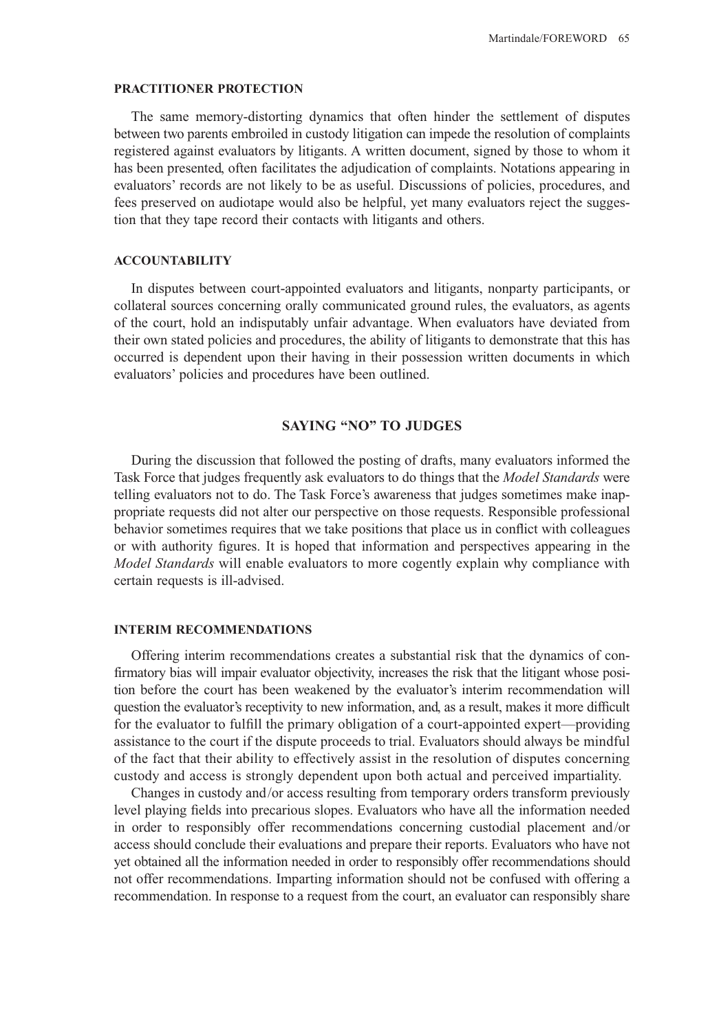#### **PRACTITIONER PROTECTION**

The same memory-distorting dynamics that often hinder the settlement of disputes between two parents embroiled in custody litigation can impede the resolution of complaints registered against evaluators by litigants. A written document, signed by those to whom it has been presented, often facilitates the adjudication of complaints. Notations appearing in evaluators' records are not likely to be as useful. Discussions of policies, procedures, and fees preserved on audiotape would also be helpful, yet many evaluators reject the suggestion that they tape record their contacts with litigants and others.

### **ACCOUNTABILITY**

In disputes between court-appointed evaluators and litigants, nonparty participants, or collateral sources concerning orally communicated ground rules, the evaluators, as agents of the court, hold an indisputably unfair advantage. When evaluators have deviated from their own stated policies and procedures, the ability of litigants to demonstrate that this has occurred is dependent upon their having in their possession written documents in which evaluators' policies and procedures have been outlined.

#### **SAYING "NO" TO JUDGES**

During the discussion that followed the posting of drafts, many evaluators informed the Task Force that judges frequently ask evaluators to do things that the *Model Standards* were telling evaluators not to do. The Task Force's awareness that judges sometimes make inappropriate requests did not alter our perspective on those requests. Responsible professional behavior sometimes requires that we take positions that place us in conflict with colleagues or with authority figures. It is hoped that information and perspectives appearing in the *Model Standards* will enable evaluators to more cogently explain why compliance with certain requests is ill-advised.

### **INTERIM RECOMMENDATIONS**

Offering interim recommendations creates a substantial risk that the dynamics of confirmatory bias will impair evaluator objectivity, increases the risk that the litigant whose position before the court has been weakened by the evaluator's interim recommendation will question the evaluator's receptivity to new information, and, as a result, makes it more difficult for the evaluator to fulfill the primary obligation of a court-appointed expert—providing assistance to the court if the dispute proceeds to trial. Evaluators should always be mindful of the fact that their ability to effectively assist in the resolution of disputes concerning custody and access is strongly dependent upon both actual and perceived impartiality.

Changes in custody and/or access resulting from temporary orders transform previously level playing fields into precarious slopes. Evaluators who have all the information needed in order to responsibly offer recommendations concerning custodial placement and/or access should conclude their evaluations and prepare their reports. Evaluators who have not yet obtained all the information needed in order to responsibly offer recommendations should not offer recommendations. Imparting information should not be confused with offering a recommendation. In response to a request from the court, an evaluator can responsibly share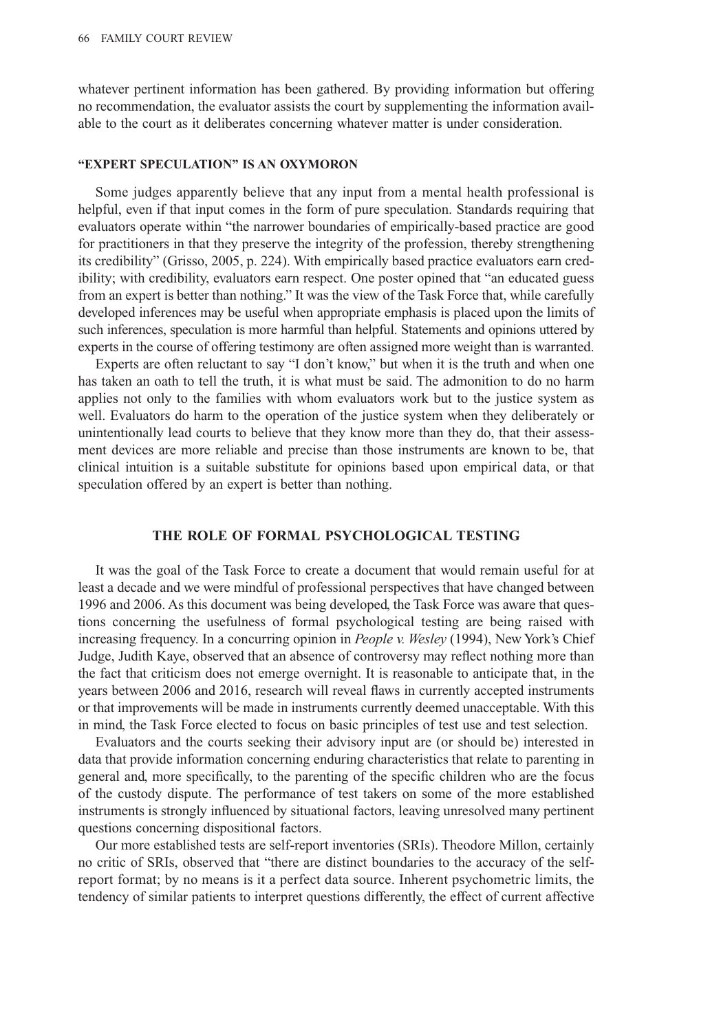whatever pertinent information has been gathered. By providing information but offering no recommendation, the evaluator assists the court by supplementing the information available to the court as it deliberates concerning whatever matter is under consideration.

## **"EXPERT SPECULATION" IS AN OXYMORON**

Some judges apparently believe that any input from a mental health professional is helpful, even if that input comes in the form of pure speculation. Standards requiring that evaluators operate within "the narrower boundaries of empirically-based practice are good for practitioners in that they preserve the integrity of the profession, thereby strengthening its credibility" (Grisso, 2005, p. 224). With empirically based practice evaluators earn credibility; with credibility, evaluators earn respect. One poster opined that "an educated guess from an expert is better than nothing." It was the view of the Task Force that, while carefully developed inferences may be useful when appropriate emphasis is placed upon the limits of such inferences, speculation is more harmful than helpful. Statements and opinions uttered by experts in the course of offering testimony are often assigned more weight than is warranted.

Experts are often reluctant to say "I don't know," but when it is the truth and when one has taken an oath to tell the truth, it is what must be said. The admonition to do no harm applies not only to the families with whom evaluators work but to the justice system as well. Evaluators do harm to the operation of the justice system when they deliberately or unintentionally lead courts to believe that they know more than they do, that their assessment devices are more reliable and precise than those instruments are known to be, that clinical intuition is a suitable substitute for opinions based upon empirical data, or that speculation offered by an expert is better than nothing.

# **THE ROLE OF FORMAL PSYCHOLOGICAL TESTING**

It was the goal of the Task Force to create a document that would remain useful for at least a decade and we were mindful of professional perspectives that have changed between 1996 and 2006. As this document was being developed, the Task Force was aware that questions concerning the usefulness of formal psychological testing are being raised with increasing frequency. In a concurring opinion in *People v. Wesley* (1994), New York's Chief Judge, Judith Kaye, observed that an absence of controversy may reflect nothing more than the fact that criticism does not emerge overnight. It is reasonable to anticipate that, in the years between 2006 and 2016, research will reveal flaws in currently accepted instruments or that improvements will be made in instruments currently deemed unacceptable. With this in mind, the Task Force elected to focus on basic principles of test use and test selection.

Evaluators and the courts seeking their advisory input are (or should be) interested in data that provide information concerning enduring characteristics that relate to parenting in general and, more specifically, to the parenting of the specific children who are the focus of the custody dispute. The performance of test takers on some of the more established instruments is strongly influenced by situational factors, leaving unresolved many pertinent questions concerning dispositional factors.

Our more established tests are self-report inventories (SRIs). Theodore Millon, certainly no critic of SRIs, observed that "there are distinct boundaries to the accuracy of the selfreport format; by no means is it a perfect data source. Inherent psychometric limits, the tendency of similar patients to interpret questions differently, the effect of current affective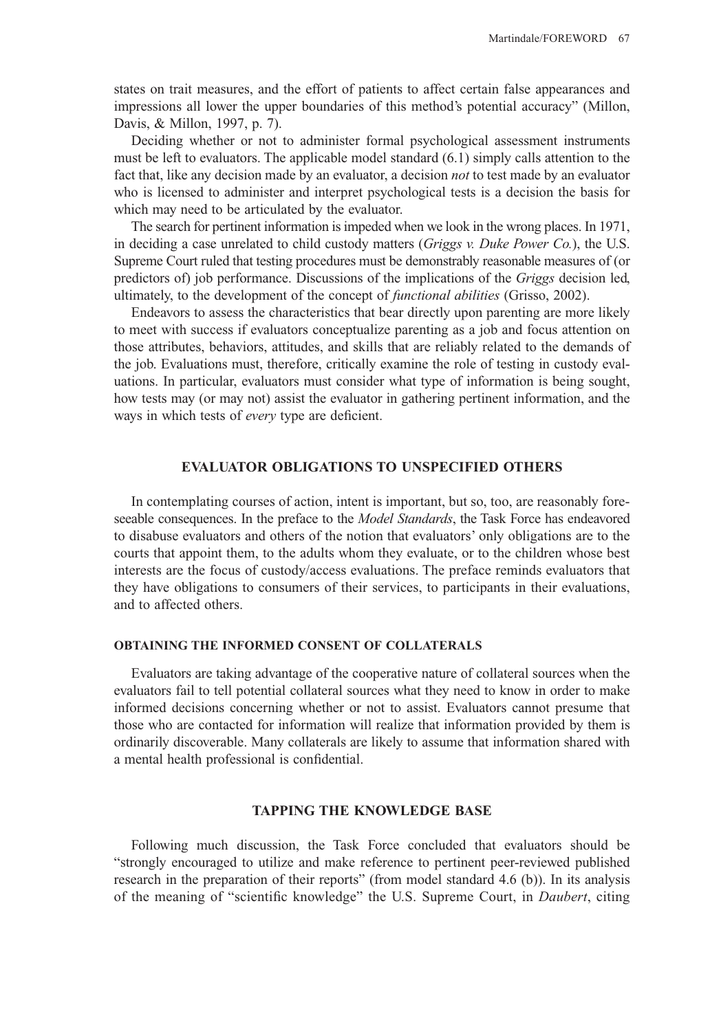states on trait measures, and the effort of patients to affect certain false appearances and impressions all lower the upper boundaries of this method's potential accuracy" (Millon, Davis, & Millon, 1997, p. 7).

Deciding whether or not to administer formal psychological assessment instruments must be left to evaluators. The applicable model standard (6.1) simply calls attention to the fact that, like any decision made by an evaluator, a decision *not* to test made by an evaluator who is licensed to administer and interpret psychological tests is a decision the basis for which may need to be articulated by the evaluator.

The search for pertinent information is impeded when we look in the wrong places. In 1971, in deciding a case unrelated to child custody matters (*Griggs v. Duke Power Co.*), the U.S. Supreme Court ruled that testing procedures must be demonstrably reasonable measures of (or predictors of) job performance. Discussions of the implications of the *Griggs* decision led, ultimately, to the development of the concept of *functional abilities* (Grisso, 2002).

Endeavors to assess the characteristics that bear directly upon parenting are more likely to meet with success if evaluators conceptualize parenting as a job and focus attention on those attributes, behaviors, attitudes, and skills that are reliably related to the demands of the job. Evaluations must, therefore, critically examine the role of testing in custody evaluations. In particular, evaluators must consider what type of information is being sought, how tests may (or may not) assist the evaluator in gathering pertinent information, and the ways in which tests of *every* type are deficient.

# **EVALUATOR OBLIGATIONS TO UNSPECIFIED OTHERS**

In contemplating courses of action, intent is important, but so, too, are reasonably foreseeable consequences. In the preface to the *Model Standards*, the Task Force has endeavored to disabuse evaluators and others of the notion that evaluators' only obligations are to the courts that appoint them, to the adults whom they evaluate, or to the children whose best interests are the focus of custody/access evaluations. The preface reminds evaluators that they have obligations to consumers of their services, to participants in their evaluations, and to affected others.

#### **OBTAINING THE INFORMED CONSENT OF COLLATERALS**

Evaluators are taking advantage of the cooperative nature of collateral sources when the evaluators fail to tell potential collateral sources what they need to know in order to make informed decisions concerning whether or not to assist. Evaluators cannot presume that those who are contacted for information will realize that information provided by them is ordinarily discoverable. Many collaterals are likely to assume that information shared with a mental health professional is confidential.

# **TAPPING THE KNOWLEDGE BASE**

Following much discussion, the Task Force concluded that evaluators should be "strongly encouraged to utilize and make reference to pertinent peer-reviewed published research in the preparation of their reports" (from model standard 4.6 (b)). In its analysis of the meaning of "scientific knowledge" the U.S. Supreme Court, in *Daubert*, citing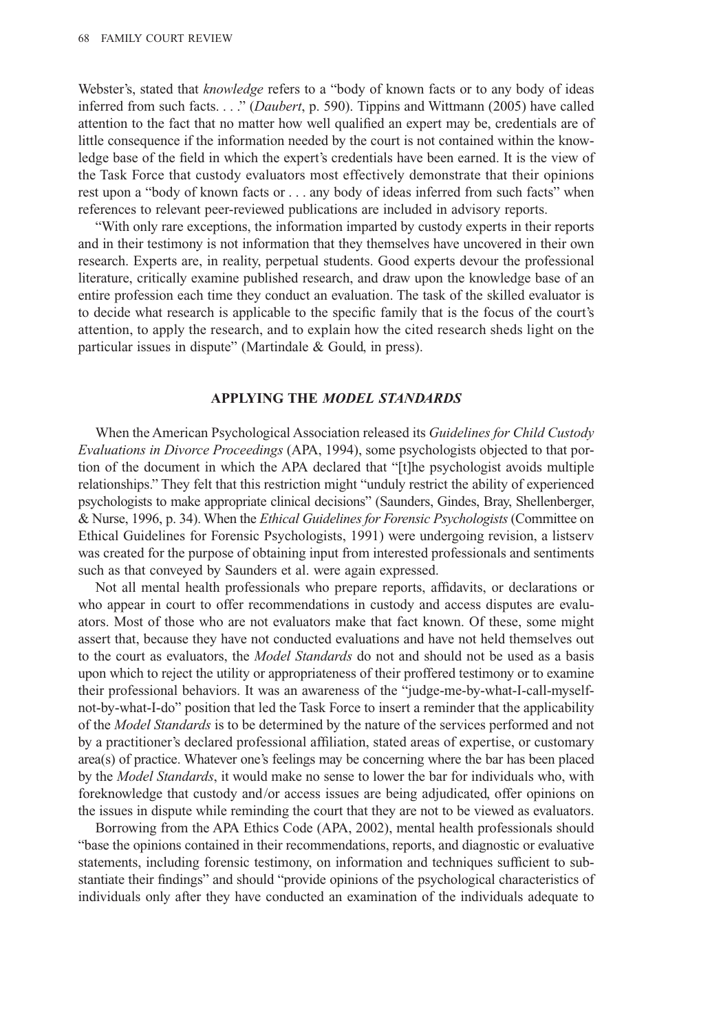Webster's, stated that *knowledge* refers to a "body of known facts or to any body of ideas inferred from such facts. . . ." (*Daubert*, p. 590). Tippins and Wittmann (2005) have called attention to the fact that no matter how well qualified an expert may be, credentials are of little consequence if the information needed by the court is not contained within the knowledge base of the field in which the expert's credentials have been earned. It is the view of the Task Force that custody evaluators most effectively demonstrate that their opinions rest upon a "body of known facts or . . . any body of ideas inferred from such facts" when references to relevant peer-reviewed publications are included in advisory reports.

"With only rare exceptions, the information imparted by custody experts in their reports and in their testimony is not information that they themselves have uncovered in their own research. Experts are, in reality, perpetual students. Good experts devour the professional literature, critically examine published research, and draw upon the knowledge base of an entire profession each time they conduct an evaluation. The task of the skilled evaluator is to decide what research is applicable to the specific family that is the focus of the court's attention, to apply the research, and to explain how the cited research sheds light on the particular issues in dispute" (Martindale & Gould, in press).

# **APPLYING THE** *MODEL STANDARDS*

When the American Psychological Association released its *Guidelines for Child Custody Evaluations in Divorce Proceedings* (APA, 1994), some psychologists objected to that portion of the document in which the APA declared that "[t]he psychologist avoids multiple relationships." They felt that this restriction might "unduly restrict the ability of experienced psychologists to make appropriate clinical decisions" (Saunders, Gindes, Bray, Shellenberger, & Nurse, 1996, p. 34). When the *Ethical Guidelines for Forensic Psychologists* (Committee on Ethical Guidelines for Forensic Psychologists, 1991) were undergoing revision, a listserv was created for the purpose of obtaining input from interested professionals and sentiments such as that conveyed by Saunders et al. were again expressed.

Not all mental health professionals who prepare reports, affidavits, or declarations or who appear in court to offer recommendations in custody and access disputes are evaluators. Most of those who are not evaluators make that fact known. Of these, some might assert that, because they have not conducted evaluations and have not held themselves out to the court as evaluators, the *Model Standards* do not and should not be used as a basis upon which to reject the utility or appropriateness of their proffered testimony or to examine their professional behaviors. It was an awareness of the "judge-me-by-what-I-call-myselfnot-by-what-I-do" position that led the Task Force to insert a reminder that the applicability of the *Model Standards* is to be determined by the nature of the services performed and not by a practitioner's declared professional affiliation, stated areas of expertise, or customary area(s) of practice. Whatever one's feelings may be concerning where the bar has been placed by the *Model Standards*, it would make no sense to lower the bar for individuals who, with foreknowledge that custody and/or access issues are being adjudicated, offer opinions on the issues in dispute while reminding the court that they are not to be viewed as evaluators.

Borrowing from the APA Ethics Code (APA, 2002), mental health professionals should "base the opinions contained in their recommendations, reports, and diagnostic or evaluative statements, including forensic testimony, on information and techniques sufficient to substantiate their findings" and should "provide opinions of the psychological characteristics of individuals only after they have conducted an examination of the individuals adequate to